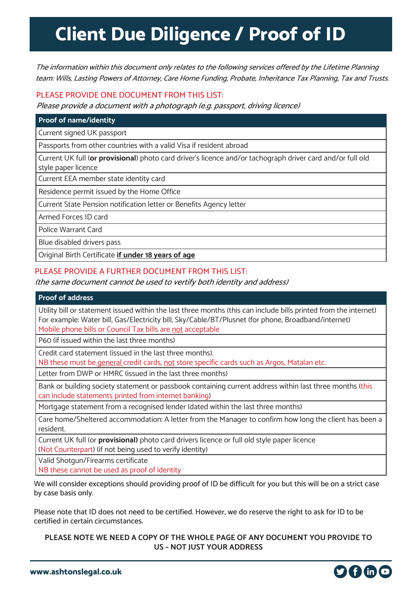## **Client Due Diligence / Proof of ID**

The information within this document only relates to the following services offered by the Lifetime Planning team: Wills, Lasting Powers of Attorney, Care Home Funding, Probate, Inheritance Tax Planning, Tax and Trusts.

## PLEASE PROVIDE ONE DOCUMENT FROM THIS LIST:

Please provide a document with a photograph (e.g. passport, driving licence)

#### **Proof of name/identity**

Current signed UK passport

Passports from other countries with a valid Visa if resident abroad

Current UK full (**or provisional**) photo card driver's licence and/or tachograph driver card and/or full old style paper licence

Current EEA member state identity card

Residence permit issued by the Home Office

Current State Pension notification letter or Benefits Agency letter

Armed Forces ID card

Police Warrant Card

Blue disabled drivers pass

Original Birth Certificate **if under 18 years of age**

### PLEASE PROVIDE A FURTHER DOCUMENT FROM THIS LIST:

#### (the same document cannot be used to vertify both identity and address)

#### **Proof of address**

Utility bill or statement issued within the last three months (this can include bills printed from the internet) For example: Water bill, Gas/Electricity bill, Sky/Cable/BT/Plusnet (for phone, Broadband/internet) Mobile phone bills or Council Tax bills are not acceptable

P60 (if issued within the last three months)

Credit card statement (issued in the last three months).

NB these must be general credit cards, not store specific cards such as Argos, Matalan etc.

Letter from DWP or HMRC (issued in the last three months)

Bank or building society statement or passbook containing current address within last three months (this can include statements printed from internet banking)

Mortgage statement from a recognised lender (dated within the last three months)

Care home/Sheltered accommodation: A letter from the Manager to confirm how long the client has been a resident.

Current UK full (or **provisional)** photo card drivers licence or full old style paper licence (Not Counterpart) (if not being used to verify identity)

Valid Shotgun/Firearms certificate

NB these cannot be used as proof of identity

We will consider exceptions should providing proof of ID be difficult for you but this will be on a strict case by case basis only.

Please note that ID does not need to be certified. However, we do reserve the right to ask for ID to be certified in certain circumstances.

**PLEASE NOTE WE NEED A COPY OF THE WHOLE PAGE OF ANY DOCUMENT YOU PROVIDE TO US – NOT JUST YOUR ADDRESS**